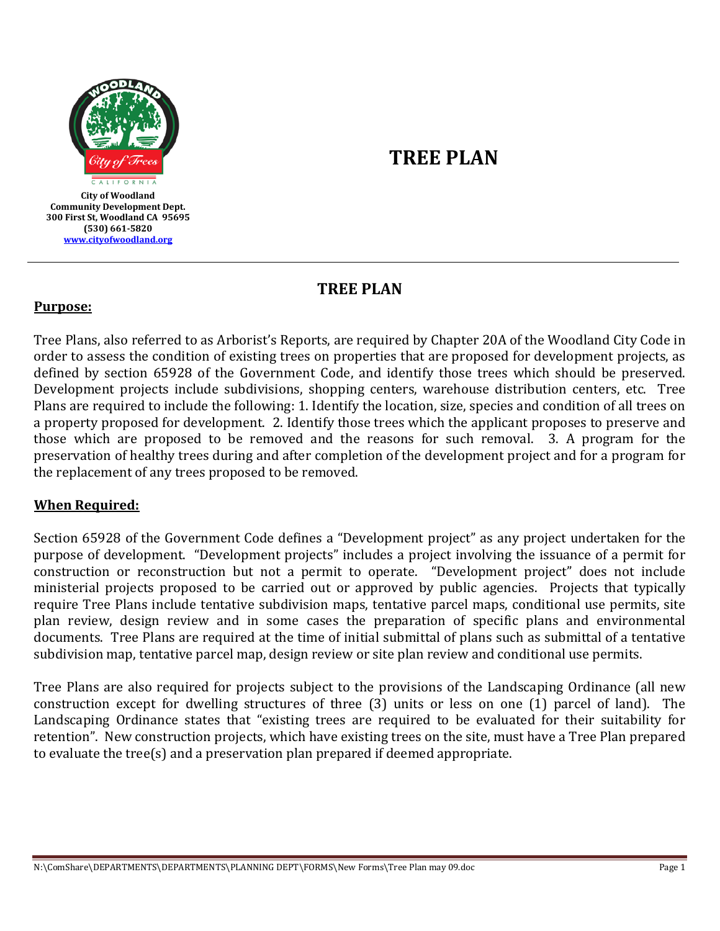

**Community Development Dept. 300 First St, Woodland CA 95695 (530) 661-5820 [www.cityofwoodland.org](http://www.cityofwoodland.org/)**

# **TREE PLAN**

**TREE PLAN**

## **Purpose:**

Tree Plans, also referred to as Arborist's Reports, are required by Chapter 20A of the Woodland City Code in order to assess the condition of existing trees on properties that are proposed for development projects, as defined by section 65928 of the Government Code, and identify those trees which should be preserved. Development projects include subdivisions, shopping centers, warehouse distribution centers, etc. Tree Plans are required to include the following: 1. Identify the location, size, species and condition of all trees on a property proposed for development. 2. Identify those trees which the applicant proposes to preserve and those which are proposed to be removed and the reasons for such removal. 3. A program for the preservation of healthy trees during and after completion of the development project and for a program for the replacement of any trees proposed to be removed.

## **When Required:**

Section 65928 of the Government Code defines a "Development project" as any project undertaken for the purpose of development. "Development projects" includes a project involving the issuance of a permit for construction or reconstruction but not a permit to operate. "Development project" does not include ministerial projects proposed to be carried out or approved by public agencies. Projects that typically require Tree Plans include tentative subdivision maps, tentative parcel maps, conditional use permits, site plan review, design review and in some cases the preparation of specific plans and environmental documents. Tree Plans are required at the time of initial submittal of plans such as submittal of a tentative subdivision map, tentative parcel map, design review or site plan review and conditional use permits.

Tree Plans are also required for projects subject to the provisions of the Landscaping Ordinance (all new construction except for dwelling structures of three (3) units or less on one (1) parcel of land). The Landscaping Ordinance states that "existing trees are required to be evaluated for their suitability for retention". New construction projects, which have existing trees on the site, must have a Tree Plan prepared to evaluate the tree(s) and a preservation plan prepared if deemed appropriate.

N:\ComShare\DEPARTMENTS\DEPARTMENTS\PLANNING DEPT\FORMS\New Forms\Tree Plan may 09.doc Page 1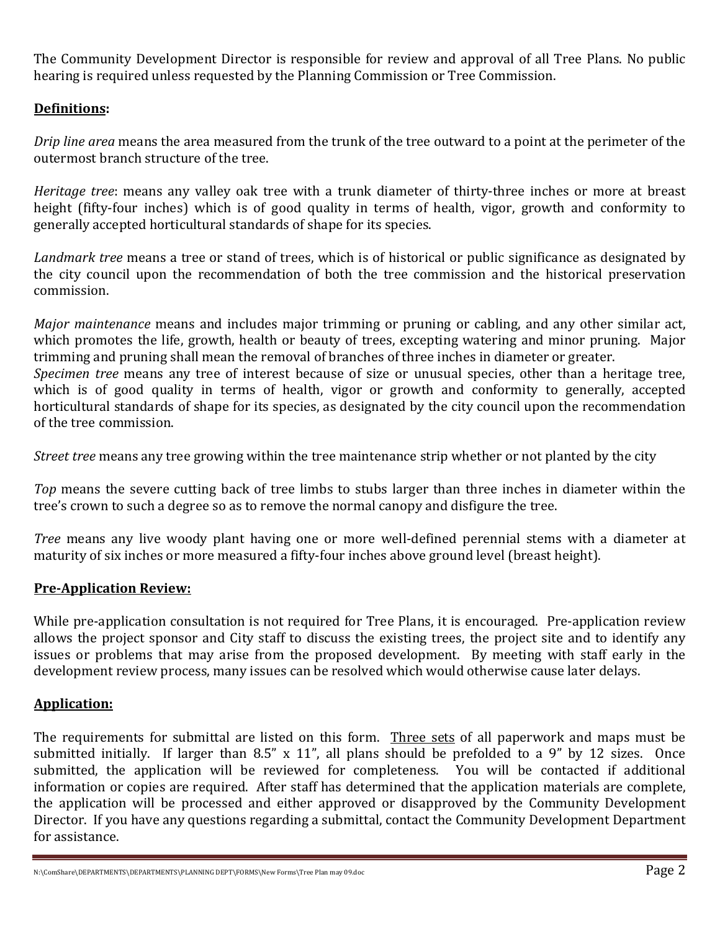The Community Development Director is responsible for review and approval of all Tree Plans. No public hearing is required unless requested by the Planning Commission or Tree Commission.

## **Definitions:**

*Drip line area* means the area measured from the trunk of the tree outward to a point at the perimeter of the outermost branch structure of the tree.

*Heritage tree*: means any valley oak tree with a trunk diameter of thirty-three inches or more at breast height (fifty-four inches) which is of good quality in terms of health, vigor, growth and conformity to generally accepted horticultural standards of shape for its species.

*Landmark tree* means a tree or stand of trees, which is of historical or public significance as designated by the city council upon the recommendation of both the tree commission and the historical preservation commission.

*Major maintenance* means and includes major trimming or pruning or cabling, and any other similar act, which promotes the life, growth, health or beauty of trees, excepting watering and minor pruning. Major trimming and pruning shall mean the removal of branches of three inches in diameter or greater. *Specimen tree* means any tree of interest because of size or unusual species, other than a heritage tree, which is of good quality in terms of health, vigor or growth and conformity to generally, accepted horticultural standards of shape for its species, as designated by the city council upon the recommendation

*Street tree* means any tree growing within the tree maintenance strip whether or not planted by the city

*Top* means the severe cutting back of tree limbs to stubs larger than three inches in diameter within the tree's crown to such a degree so as to remove the normal canopy and disfigure the tree.

*Tree* means any live woody plant having one or more well-defined perennial stems with a diameter at maturity of six inches or more measured a fifty-four inches above ground level (breast height).

## **Pre-Application Review:**

of the tree commission.

While pre-application consultation is not required for Tree Plans, it is encouraged. Pre-application review allows the project sponsor and City staff to discuss the existing trees, the project site and to identify any issues or problems that may arise from the proposed development. By meeting with staff early in the development review process, many issues can be resolved which would otherwise cause later delays.

## **Application:**

The requirements for submittal are listed on this form. Three sets of all paperwork and maps must be submitted initially. If larger than 8.5" x 11", all plans should be prefolded to a 9" by 12 sizes. Once submitted, the application will be reviewed for completeness. You will be contacted if additional information or copies are required. After staff has determined that the application materials are complete, the application will be processed and either approved or disapproved by the Community Development Director. If you have any questions regarding a submittal, contact the Community Development Department for assistance.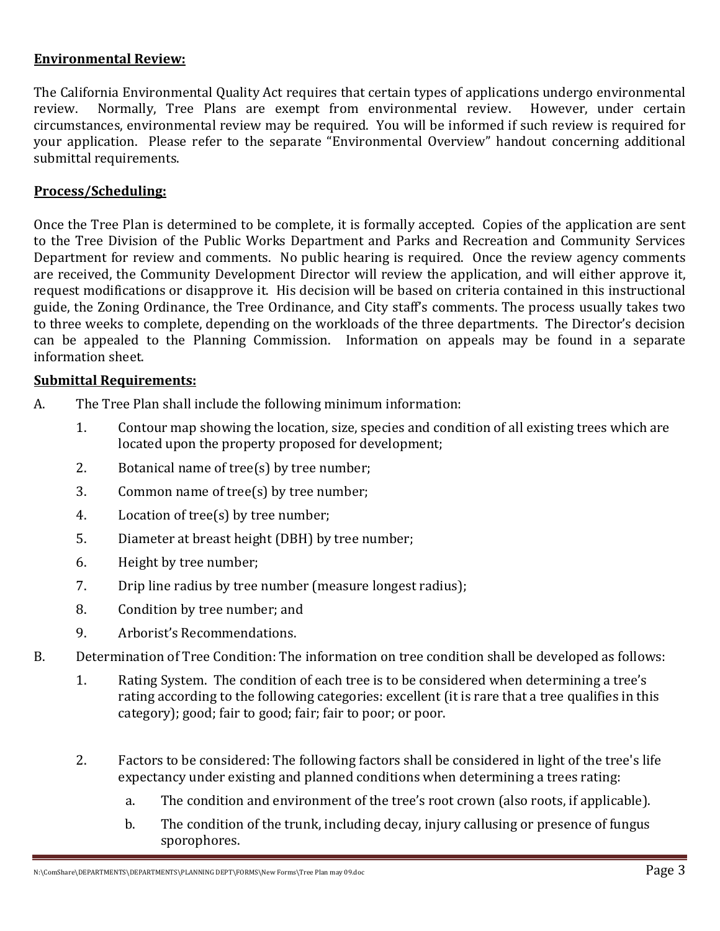## **Environmental Review:**

The California Environmental Quality Act requires that certain types of applications undergo environmental review.<br>The California Environmental Quality Act requires that certain review. However, under certain Normally, Tree Plans are exempt from environmental review. However, under certain circumstances, environmental review may be required. You will be informed if such review is required for your application. Please refer to the separate "Environmental Overview" handout concerning additional submittal requirements.

## **Process/Scheduling:**

Once the Tree Plan is determined to be complete, it is formally accepted. Copies of the application are sent to the Tree Division of the Public Works Department and Parks and Recreation and Community Services Department for review and comments. No public hearing is required. Once the review agency comments are received, the Community Development Director will review the application, and will either approve it, request modifications or disapprove it. His decision will be based on criteria contained in this instructional guide, the Zoning Ordinance, the Tree Ordinance, and City staff's comments. The process usually takes two to three weeks to complete, depending on the workloads of the three departments. The Director's decision can be appealed to the Planning Commission. Information on appeals may be found in a separate information sheet.

#### **Submittal Requirements:**

- A. The Tree Plan shall include the following minimum information:
	- 1. Contour map showing the location, size, species and condition of all existing trees which are located upon the property proposed for development;
	- 2. Botanical name of tree(s) by tree number;
	- 3. Common name of tree(s) by tree number;
	- 4. Location of tree(s) by tree number;
	- 5. Diameter at breast height (DBH) by tree number;
	- 6. Height by tree number;
	- 7. Drip line radius by tree number (measure longest radius);
	- 8. Condition by tree number; and
	- 9. Arborist's Recommendations.
- B. Determination of Tree Condition: The information on tree condition shall be developed as follows:
	- 1. Rating System. The condition of each tree is to be considered when determining a tree's rating according to the following categories: excellent (it is rare that a tree qualifies in this category); good; fair to good; fair; fair to poor; or poor.
	- 2. Factors to be considered: The following factors shall be considered in light of the tree's life expectancy under existing and planned conditions when determining a trees rating:
		- a. The condition and environment of the tree's root crown (also roots, if applicable).
		- b. The condition of the trunk, including decay, injury callusing or presence of fungus sporophores.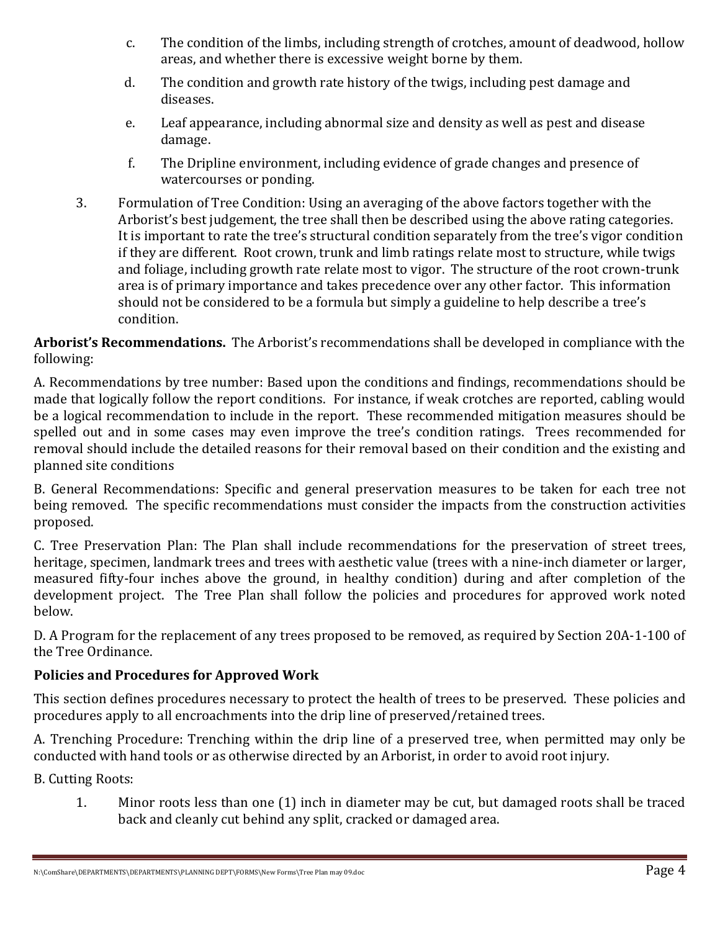- c. The condition of the limbs, including strength of crotches, amount of deadwood, hollow areas, and whether there is excessive weight borne by them.
- d. The condition and growth rate history of the twigs, including pest damage and diseases.
- e. Leaf appearance, including abnormal size and density as well as pest and disease damage.
- f. The Dripline environment, including evidence of grade changes and presence of watercourses or ponding.
- 3. Formulation of Tree Condition: Using an averaging of the above factors together with the Arborist's best judgement, the tree shall then be described using the above rating categories. It is important to rate the tree's structural condition separately from the tree's vigor condition if they are different. Root crown, trunk and limb ratings relate most to structure, while twigs and foliage, including growth rate relate most to vigor. The structure of the root crown-trunk area is of primary importance and takes precedence over any other factor. This information should not be considered to be a formula but simply a guideline to help describe a tree's condition.

**Arborist's Recommendations.** The Arborist's recommendations shall be developed in compliance with the following:

A. Recommendations by tree number: Based upon the conditions and findings, recommendations should be made that logically follow the report conditions. For instance, if weak crotches are reported, cabling would be a logical recommendation to include in the report. These recommended mitigation measures should be spelled out and in some cases may even improve the tree's condition ratings. Trees recommended for removal should include the detailed reasons for their removal based on their condition and the existing and planned site conditions

B. General Recommendations: Specific and general preservation measures to be taken for each tree not being removed. The specific recommendations must consider the impacts from the construction activities proposed.

C. Tree Preservation Plan: The Plan shall include recommendations for the preservation of street trees, heritage, specimen, landmark trees and trees with aesthetic value (trees with a nine-inch diameter or larger, measured fifty-four inches above the ground, in healthy condition) during and after completion of the development project. The Tree Plan shall follow the policies and procedures for approved work noted below.

D. A Program for the replacement of any trees proposed to be removed, as required by Section 20A-1-100 of the Tree Ordinance.

## **Policies and Procedures for Approved Work**

This section defines procedures necessary to protect the health of trees to be preserved. These policies and procedures apply to all encroachments into the drip line of preserved/retained trees.

A. Trenching Procedure: Trenching within the drip line of a preserved tree, when permitted may only be conducted with hand tools or as otherwise directed by an Arborist, in order to avoid root injury.

B. Cutting Roots:

1. Minor roots less than one (1) inch in diameter may be cut, but damaged roots shall be traced back and cleanly cut behind any split, cracked or damaged area.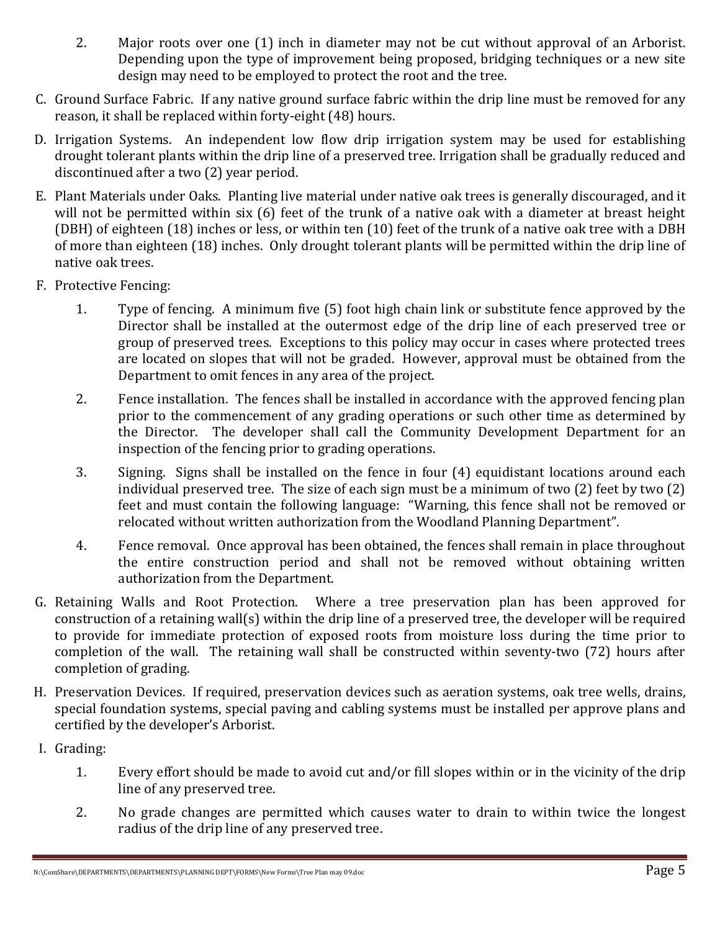- 2. Major roots over one (1) inch in diameter may not be cut without approval of an Arborist. Depending upon the type of improvement being proposed, bridging techniques or a new site design may need to be employed to protect the root and the tree.
- C. Ground Surface Fabric. If any native ground surface fabric within the drip line must be removed for any reason, it shall be replaced within forty-eight (48) hours.
- D. Irrigation Systems. An independent low flow drip irrigation system may be used for establishing drought tolerant plants within the drip line of a preserved tree. Irrigation shall be gradually reduced and discontinued after a two (2) year period.
- E. Plant Materials under Oaks. Planting live material under native oak trees is generally discouraged, and it will not be permitted within six (6) feet of the trunk of a native oak with a diameter at breast height (DBH) of eighteen (18) inches or less, or within ten (10) feet of the trunk of a native oak tree with a DBH of more than eighteen (18) inches. Only drought tolerant plants will be permitted within the drip line of native oak trees.
- F. Protective Fencing:
	- 1. Type of fencing. A minimum five (5) foot high chain link or substitute fence approved by the Director shall be installed at the outermost edge of the drip line of each preserved tree or group of preserved trees. Exceptions to this policy may occur in cases where protected trees are located on slopes that will not be graded. However, approval must be obtained from the Department to omit fences in any area of the project.
	- 2. Fence installation. The fences shall be installed in accordance with the approved fencing plan prior to the commencement of any grading operations or such other time as determined by the Director. The developer shall call the Community Development Department for an inspection of the fencing prior to grading operations.
	- 3. Signing. Signs shall be installed on the fence in four (4) equidistant locations around each individual preserved tree. The size of each sign must be a minimum of two (2) feet by two (2) feet and must contain the following language: "Warning, this fence shall not be removed or relocated without written authorization from the Woodland Planning Department".
	- 4. Fence removal. Once approval has been obtained, the fences shall remain in place throughout the entire construction period and shall not be removed without obtaining written authorization from the Department.
- G. Retaining Walls and Root Protection. Where a tree preservation plan has been approved for construction of a retaining wall(s) within the drip line of a preserved tree, the developer will be required to provide for immediate protection of exposed roots from moisture loss during the time prior to completion of the wall. The retaining wall shall be constructed within seventy-two (72) hours after completion of grading.
- H. Preservation Devices. If required, preservation devices such as aeration systems, oak tree wells, drains, special foundation systems, special paving and cabling systems must be installed per approve plans and certified by the developer's Arborist.
- I. Grading:
	- 1. Every effort should be made to avoid cut and/or fill slopes within or in the vicinity of the drip line of any preserved tree.
	- 2. No grade changes are permitted which causes water to drain to within twice the longest radius of the drip line of any preserved tree.

N:\ComShare\DEPARTMENTS\DEPARTMENTS\PLANNING DEPT\FORMS\New Forms\Tree Plan may 09.doc  $P$